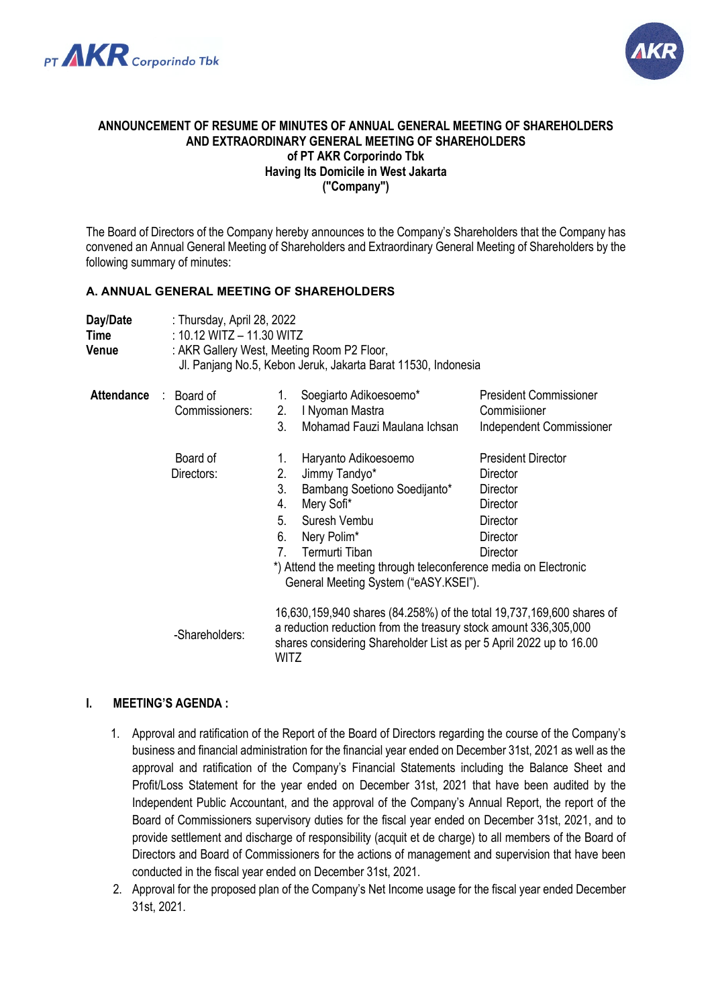



### **ANNOUNCEMENT OF RESUME OF MINUTES OF ANNUAL GENERAL MEETING OF SHAREHOLDERS AND EXTRAORDINARY GENERAL MEETING OF SHAREHOLDERS of PT AKR Corporindo Tbk Having Its Domicile in West Jakarta ("Company")**

The Board of Directors of the Company hereby announces to the Company's Shareholders that the Company has convened an Annual General Meeting of Shareholders and Extraordinary General Meeting of Shareholders by the following summary of minutes:

### **A. ANNUAL GENERAL MEETING OF SHAREHOLDERS**

| Day/Date<br>Time<br>Venue |                              | : Thursday, April 28, 2022<br>: 10.12 WITZ $-$ 11.30 WITZ<br>: AKR Gallery West, Meeting Room P2 Floor,<br>Jl. Panjang No.5, Kebon Jeruk, Jakarta Barat 11530, Indonesia                                                                                                                   |                                                                                                   |  |  |  |
|---------------------------|------------------------------|--------------------------------------------------------------------------------------------------------------------------------------------------------------------------------------------------------------------------------------------------------------------------------------------|---------------------------------------------------------------------------------------------------|--|--|--|
| <b>Attendance</b>         | : Board of<br>Commissioners: | Soegiarto Adikoesoemo*<br>$1_{\cdot}$<br>I Nyoman Mastra<br>2.<br>3.<br>Mohamad Fauzi Maulana Ichsan                                                                                                                                                                                       | <b>President Commissioner</b><br>Commisiioner<br>Independent Commissioner                         |  |  |  |
|                           | Board of<br>Directors:       | Haryanto Adikoesoemo<br>1.<br>2.<br>Jimmy Tandyo*<br>3.<br>Bambang Soetiono Soedijanto*<br>4.<br>Mery Sofi*<br>5.<br>Suresh Vembu<br>6.<br>Nery Polim*<br>Termurti Tiban<br>7<br>*) Attend the meeting through teleconference media on Electronic<br>General Meeting System ("eASY.KSEI"). | <b>President Director</b><br>Director<br>Director<br>Director<br>Director<br>Director<br>Director |  |  |  |
|                           | -Shareholders:               | 16,630,159,940 shares (84.258%) of the total 19,737,169,600 shares of<br>a reduction reduction from the treasury stock amount 336,305,000<br>shares considering Shareholder List as per 5 April 2022 up to 16.00<br><b>WITZ</b>                                                            |                                                                                                   |  |  |  |

# **I. MEETING'S AGENDA :**

- 1. Approval and ratification of the Report of the Board of Directors regarding the course of the Company's business and financial administration for the financial year ended on December 31st, 2021 as well as the approval and ratification of the Company's Financial Statements including the Balance Sheet and Profit/Loss Statement for the year ended on December 31st, 2021 that have been audited by the Independent Public Accountant, and the approval of the Company's Annual Report, the report of the Board of Commissioners supervisory duties for the fiscal year ended on December 31st, 2021, and to provide settlement and discharge of responsibility (acquit et de charge) to all members of the Board of Directors and Board of Commissioners for the actions of management and supervision that have been conducted in the fiscal year ended on December 31st, 2021.
- 2. Approval for the proposed plan of the Company's Net Income usage for the fiscal year ended December 31st, 2021.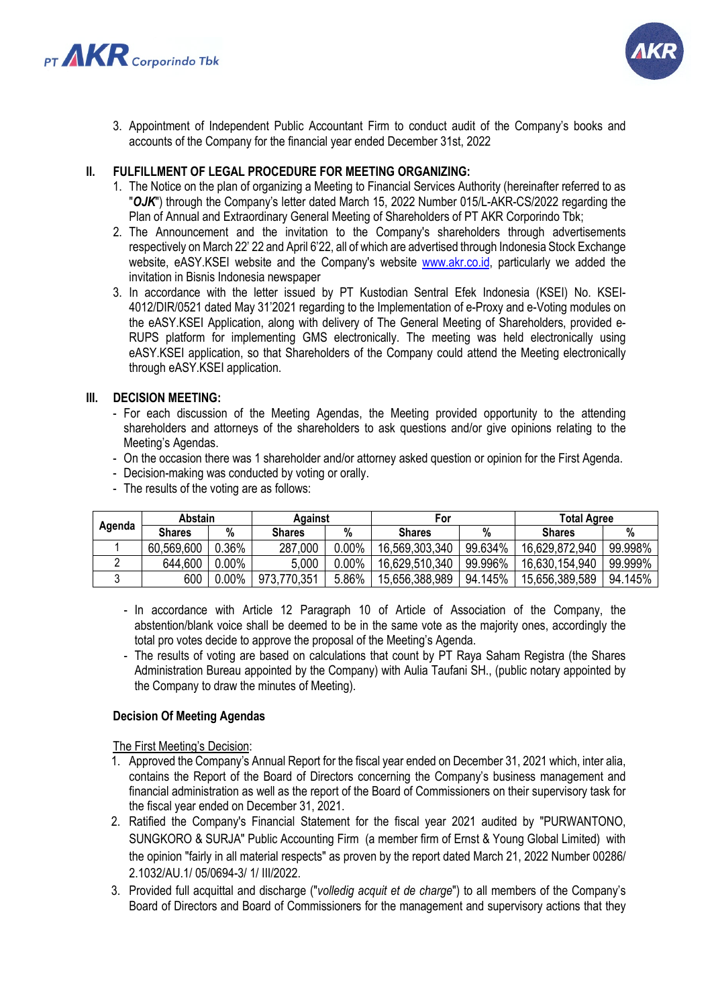



3. Appointment of Independent Public Accountant Firm to conduct audit of the Company's books and accounts of the Company for the financial year ended December 31st, 2022

# **II. FULFILLMENT OF LEGAL PROCEDURE FOR MEETING ORGANIZING:**

- 1. The Notice on the plan of organizing a Meeting to Financial Services Authority (hereinafter referred to as "*OJK*") through the Company's letter dated March 15, 2022 Number 015/L-AKR-CS/2022 regarding the Plan of Annual and Extraordinary General Meeting of Shareholders of PT AKR Corporindo Tbk;
- 2. The Announcement and the invitation to the Company's shareholders through advertisements respectively on March 22' 22 and April 6'22, all of which are advertised through Indonesia Stock Exchange website, eASY.KSEI website and the Company's website [www.akr.co.id,](http://www.akr.co.id/) particularly we added the invitation in Bisnis Indonesia newspaper
- 3. In accordance with the letter issued by PT Kustodian Sentral Efek Indonesia (KSEI) No. KSEI-4012/DIR/0521 dated May 31'2021 regarding to the Implementation of e-Proxy and e-Voting modules on the eASY.KSEI Application, along with delivery of The General Meeting of Shareholders, provided e-RUPS platform for implementing GMS electronically. The meeting was held electronically using eASY.KSEI application, so that Shareholders of the Company could attend the Meeting electronically through eASY.KSEI application.

### **III. DECISION MEETING:**

- For each discussion of the Meeting Agendas, the Meeting provided opportunity to the attending shareholders and attorneys of the shareholders to ask questions and/or give opinions relating to the Meeting's Agendas.
- On the occasion there was 1 shareholder and/or attorney asked question or opinion for the First Agenda.
- Decision-making was conducted by voting or orally.
- The results of the voting are as follows:

| Agenda | Abstain       |          | Against       |          | For            |         | <b>Total Agree</b> |         |
|--------|---------------|----------|---------------|----------|----------------|---------|--------------------|---------|
|        | <b>Shares</b> | %        | <b>Shares</b> | %        | <b>Shares</b>  | %       | <b>Shares</b>      |         |
|        | 60,569,600    | 0.36%    | 287,000       | $0.00\%$ | 16,569,303,340 | 99.634% | 16,629,872,940     | 99.998% |
|        | 644,600       | $0.00\%$ | 5,000         | $0.00\%$ | 16,629,510,340 | 99.996% | 16,630,154,940     | 99.999% |
|        | 600           | $0.00\%$ | 973,770,351   | 5.86%    | 15,656,388,989 | 94.145% | 15,656,389,589     | 94.145% |

- In accordance with Article 12 Paragraph 10 of Article of Association of the Company, the abstention/blank voice shall be deemed to be in the same vote as the majority ones, accordingly the total pro votes decide to approve the proposal of the Meeting's Agenda.
- The results of voting are based on calculations that count by PT Raya Saham Registra (the Shares Administration Bureau appointed by the Company) with Aulia Taufani SH., (public notary appointed by the Company to draw the minutes of Meeting).

### **Decision Of Meeting Agendas**

The First Meeting's Decision:

- 1. Approved the Company's Annual Report for the fiscal year ended on December 31, 2021 which, inter alia, contains the Report of the Board of Directors concerning the Company's business management and financial administration as well as the report of the Board of Commissioners on their supervisory task for the fiscal year ended on December 31, 2021.
- 2. Ratified the Company's Financial Statement for the fiscal year 2021 audited by "PURWANTONO, SUNGKORO & SURJA" Public Accounting Firm (a member firm of Ernst & Young Global Limited) with the opinion "fairly in all material respects" as proven by the report dated March 21, 2022 Number 00286/ 2.1032/AU.1/ 05/0694-3/ 1/ III/2022.
- 3. Provided full acquittal and discharge ("*volledig acquit et de charge*") to all members of the Company's Board of Directors and Board of Commissioners for the management and supervisory actions that they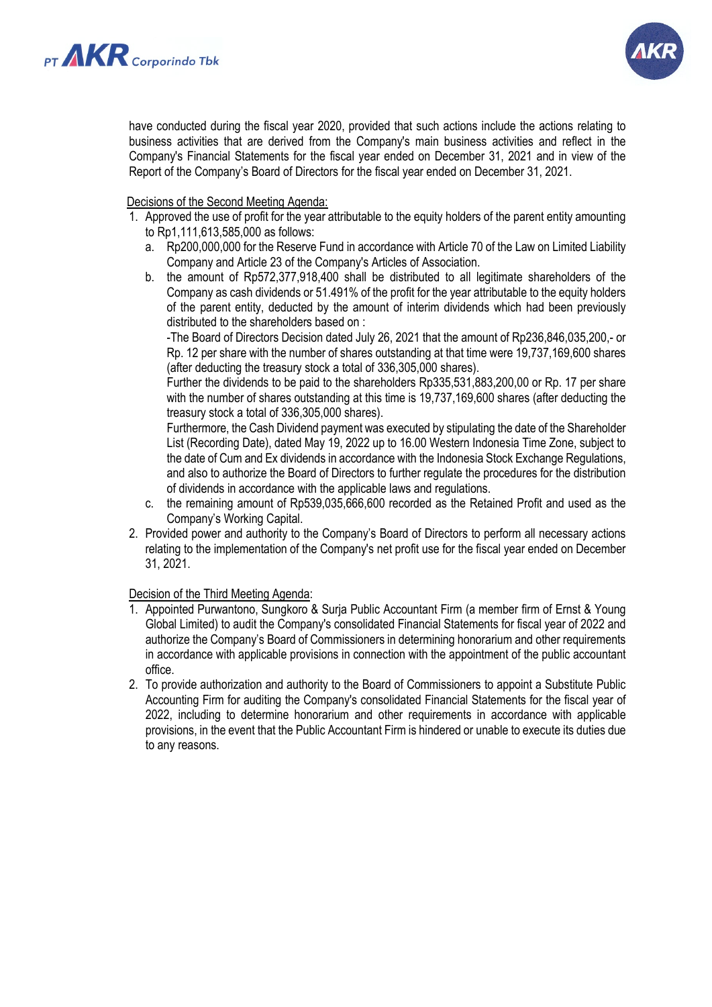



have conducted during the fiscal year 2020, provided that such actions include the actions relating to business activities that are derived from the Company's main business activities and reflect in the Company's Financial Statements for the fiscal year ended on December 31, 2021 and in view of the Report of the Company's Board of Directors for the fiscal year ended on December 31, 2021.

Decisions of the Second Meeting Agenda:

- 1. Approved the use of profit for the year attributable to the equity holders of the parent entity amounting to Rp1,111,613,585,000 as follows:
	- a. Rp200,000,000 for the Reserve Fund in accordance with Article 70 of the Law on Limited Liability Company and Article 23 of the Company's Articles of Association.
	- b. the amount of Rp572,377,918,400 shall be distributed to all legitimate shareholders of the Company as cash dividends or 51.491% of the profit for the year attributable to the equity holders of the parent entity, deducted by the amount of interim dividends which had been previously distributed to the shareholders based on :

-The Board of Directors Decision dated July 26, 2021 that the amount of Rp236,846,035,200,- or Rp. 12 per share with the number of shares outstanding at that time were 19,737,169,600 shares (after deducting the treasury stock a total of 336,305,000 shares).

Further the dividends to be paid to the shareholders Rp335,531,883,200,00 or Rp. 17 per share with the number of shares outstanding at this time is 19,737,169,600 shares (after deducting the treasury stock a total of 336,305,000 shares).

Furthermore, the Cash Dividend payment was executed by stipulating the date of the Shareholder List (Recording Date), dated May 19, 2022 up to 16.00 Western Indonesia Time Zone, subject to the date of Cum and Ex dividends in accordance with the Indonesia Stock Exchange Regulations, and also to authorize the Board of Directors to further regulate the procedures for the distribution of dividends in accordance with the applicable laws and regulations.

- c. the remaining amount of Rp539,035,666,600 recorded as the Retained Profit and used as the Company's Working Capital.
- 2. Provided power and authority to the Company's Board of Directors to perform all necessary actions relating to the implementation of the Company's net profit use for the fiscal year ended on December 31, 2021.

# Decision of the Third Meeting Agenda:

- 1. Appointed Purwantono, Sungkoro & Surja Public Accountant Firm (a member firm of Ernst & Young Global Limited) to audit the Company's consolidated Financial Statements for fiscal year of 2022 and authorize the Company's Board of Commissioners in determining honorarium and other requirements in accordance with applicable provisions in connection with the appointment of the public accountant office.
- 2. To provide authorization and authority to the Board of Commissioners to appoint a Substitute Public Accounting Firm for auditing the Company's consolidated Financial Statements for the fiscal year of 2022, including to determine honorarium and other requirements in accordance with applicable provisions, in the event that the Public Accountant Firm is hindered or unable to execute its duties due to any reasons.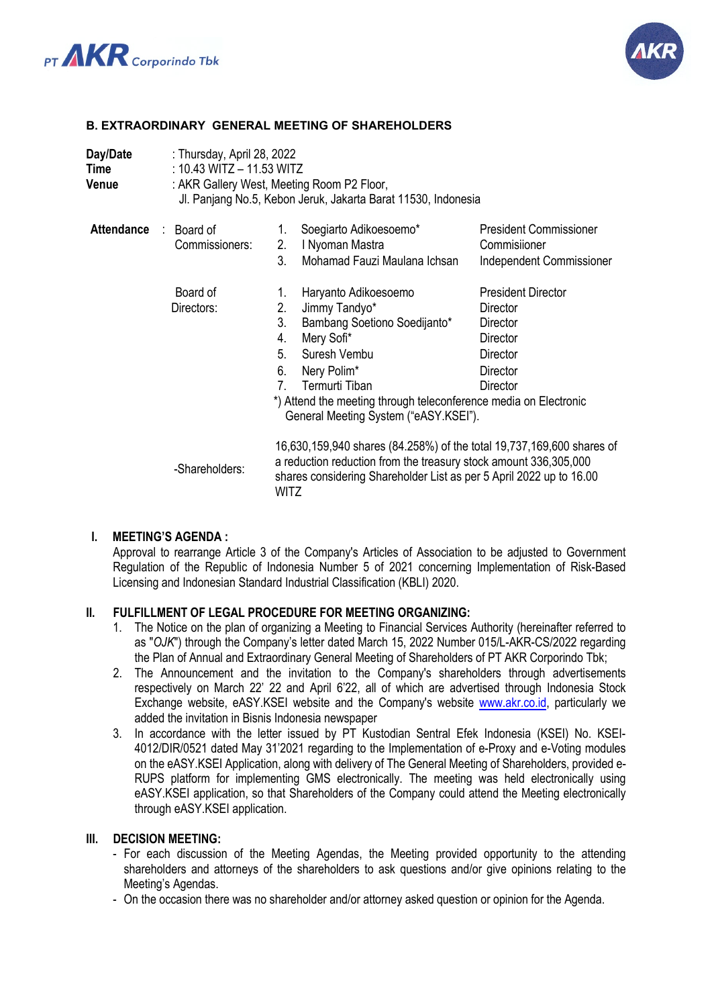



# **B. EXTRAORDINARY GENERAL MEETING OF SHAREHOLDERS**

| Day/Date<br>Time<br>Venue    | : Thursday, April 28, 2022<br>: 10.43 WITZ $-$ 11.53 WITZ<br>: AKR Gallery West, Meeting Room P2 Floor,<br>Jl. Panjang No.5, Kebon Jeruk, Jakarta Barat 11530, Indonesia |                                                                                                                                                                                                                          |                                               |  |  |  |  |
|------------------------------|--------------------------------------------------------------------------------------------------------------------------------------------------------------------------|--------------------------------------------------------------------------------------------------------------------------------------------------------------------------------------------------------------------------|-----------------------------------------------|--|--|--|--|
| <b>Attendance : Board of</b> | Commissioners:                                                                                                                                                           | Soegiarto Adikoesoemo*<br>1.<br>2.<br>I Nyoman Mastra                                                                                                                                                                    | <b>President Commissioner</b><br>Commisiioner |  |  |  |  |
|                              |                                                                                                                                                                          | Mohamad Fauzi Maulana Ichsan<br>3.                                                                                                                                                                                       | <b>Independent Commissioner</b>               |  |  |  |  |
|                              | Board of                                                                                                                                                                 | Haryanto Adikoesoemo<br>1.                                                                                                                                                                                               | <b>President Director</b>                     |  |  |  |  |
|                              | Directors:                                                                                                                                                               | 2.<br>Jimmy Tandyo*                                                                                                                                                                                                      | Director                                      |  |  |  |  |
|                              |                                                                                                                                                                          | 3.<br>Bambang Soetiono Soedijanto*                                                                                                                                                                                       | Director                                      |  |  |  |  |
|                              |                                                                                                                                                                          | 4.<br>Mery Sofi*                                                                                                                                                                                                         | Director                                      |  |  |  |  |
|                              |                                                                                                                                                                          | Suresh Vembu<br>5.                                                                                                                                                                                                       | Director                                      |  |  |  |  |
|                              |                                                                                                                                                                          | 6.<br>Nery Polim*                                                                                                                                                                                                        | Director                                      |  |  |  |  |
|                              |                                                                                                                                                                          | Termurti Tiban<br>$7^{\circ}$                                                                                                                                                                                            | Director                                      |  |  |  |  |
|                              |                                                                                                                                                                          | *) Attend the meeting through teleconference media on Electronic<br>General Meeting System ("eASY.KSEI").                                                                                                                |                                               |  |  |  |  |
|                              | -Shareholders:                                                                                                                                                           | 16,630,159,940 shares (84.258%) of the total 19,737,169,600 shares of<br>a reduction reduction from the treasury stock amount 336,305,000<br>shares considering Shareholder List as per 5 April 2022 up to 16.00<br>WITZ |                                               |  |  |  |  |

### **I. MEETING'S AGENDA :**

Approval to rearrange Article 3 of the Company's Articles of Association to be adjusted to Government Regulation of the Republic of Indonesia Number 5 of 2021 concerning Implementation of Risk-Based Licensing and Indonesian Standard Industrial Classification (KBLI) 2020.

### **II. FULFILLMENT OF LEGAL PROCEDURE FOR MEETING ORGANIZING:**

- 1. The Notice on the plan of organizing a Meeting to Financial Services Authority (hereinafter referred to as "*OJK*") through the Company's letter dated March 15, 2022 Number 015/L-AKR-CS/2022 regarding the Plan of Annual and Extraordinary General Meeting of Shareholders of PT AKR Corporindo Tbk;
- 2. The Announcement and the invitation to the Company's shareholders through advertisements respectively on March 22' 22 and April 6'22, all of which are advertised through Indonesia Stock Exchange website, eASY.KSEI website and the Company's website [www.akr.co.id,](http://www.akr.co.id/) particularly we added the invitation in Bisnis Indonesia newspaper
- 3. In accordance with the letter issued by PT Kustodian Sentral Efek Indonesia (KSEI) No. KSEI-4012/DIR/0521 dated May 31'2021 regarding to the Implementation of e-Proxy and e-Voting modules on the eASY.KSEI Application, along with delivery of The General Meeting of Shareholders, provided e-RUPS platform for implementing GMS electronically. The meeting was held electronically using eASY.KSEI application, so that Shareholders of the Company could attend the Meeting electronically through eASY.KSEI application.

#### **III. DECISION MEETING:**

- For each discussion of the Meeting Agendas, the Meeting provided opportunity to the attending shareholders and attorneys of the shareholders to ask questions and/or give opinions relating to the Meeting's Agendas.
- On the occasion there was no shareholder and/or attorney asked question or opinion for the Agenda.